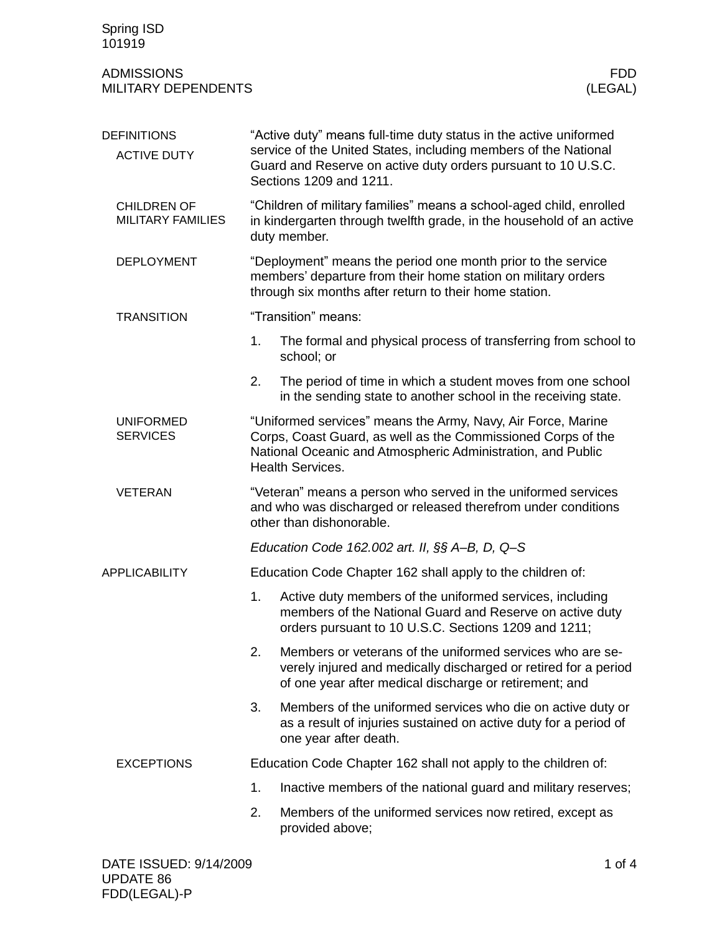| Spring ISD<br>101919                           |                                                                                                                                                                                                                                  |                                                                                                                                                                                                                        |  |
|------------------------------------------------|----------------------------------------------------------------------------------------------------------------------------------------------------------------------------------------------------------------------------------|------------------------------------------------------------------------------------------------------------------------------------------------------------------------------------------------------------------------|--|
| <b>ADMISSIONS</b><br>MILITARY DEPENDENTS       |                                                                                                                                                                                                                                  | FDD.<br>(LEGAL)                                                                                                                                                                                                        |  |
| <b>DEFINITIONS</b><br><b>ACTIVE DUTY</b>       | "Active duty" means full-time duty status in the active uniformed<br>service of the United States, including members of the National<br>Guard and Reserve on active duty orders pursuant to 10 U.S.C.<br>Sections 1209 and 1211. |                                                                                                                                                                                                                        |  |
| <b>CHILDREN OF</b><br><b>MILITARY FAMILIES</b> | "Children of military families" means a school-aged child, enrolled<br>in kindergarten through twelfth grade, in the household of an active<br>duty member.                                                                      |                                                                                                                                                                                                                        |  |
| <b>DEPLOYMENT</b>                              | "Deployment" means the period one month prior to the service<br>members' departure from their home station on military orders<br>through six months after return to their home station.                                          |                                                                                                                                                                                                                        |  |
| <b>TRANSITION</b>                              |                                                                                                                                                                                                                                  | "Transition" means:                                                                                                                                                                                                    |  |
|                                                | 1.                                                                                                                                                                                                                               | The formal and physical process of transferring from school to<br>school; or                                                                                                                                           |  |
|                                                | 2.                                                                                                                                                                                                                               | The period of time in which a student moves from one school<br>in the sending state to another school in the receiving state.                                                                                          |  |
| <b>UNIFORMED</b><br><b>SERVICES</b>            |                                                                                                                                                                                                                                  | "Uniformed services" means the Army, Navy, Air Force, Marine<br>Corps, Coast Guard, as well as the Commissioned Corps of the<br>National Oceanic and Atmospheric Administration, and Public<br><b>Health Services.</b> |  |
| <b>VETERAN</b>                                 | "Veteran" means a person who served in the uniformed services<br>and who was discharged or released therefrom under conditions<br>other than dishonorable.                                                                       |                                                                                                                                                                                                                        |  |
|                                                |                                                                                                                                                                                                                                  | Education Code 162.002 art. II, §§ A-B, D, Q-S                                                                                                                                                                         |  |
| <b>APPLICABILITY</b>                           | Education Code Chapter 162 shall apply to the children of:                                                                                                                                                                       |                                                                                                                                                                                                                        |  |
|                                                | 1.                                                                                                                                                                                                                               | Active duty members of the uniformed services, including<br>members of the National Guard and Reserve on active duty<br>orders pursuant to 10 U.S.C. Sections 1209 and 1211;                                           |  |
|                                                | 2.                                                                                                                                                                                                                               | Members or veterans of the uniformed services who are se-<br>verely injured and medically discharged or retired for a period<br>of one year after medical discharge or retirement; and                                 |  |
|                                                | 3.                                                                                                                                                                                                                               | Members of the uniformed services who die on active duty or<br>as a result of injuries sustained on active duty for a period of<br>one year after death.                                                               |  |
| <b>EXCEPTIONS</b>                              |                                                                                                                                                                                                                                  | Education Code Chapter 162 shall not apply to the children of:                                                                                                                                                         |  |
|                                                | 1.                                                                                                                                                                                                                               | Inactive members of the national guard and military reserves;                                                                                                                                                          |  |
|                                                | 2.                                                                                                                                                                                                                               | Members of the uniformed services now retired, except as<br>provided above;                                                                                                                                            |  |
| DATE ISSUED: 9/14/2009                         |                                                                                                                                                                                                                                  | 1 of $4$                                                                                                                                                                                                               |  |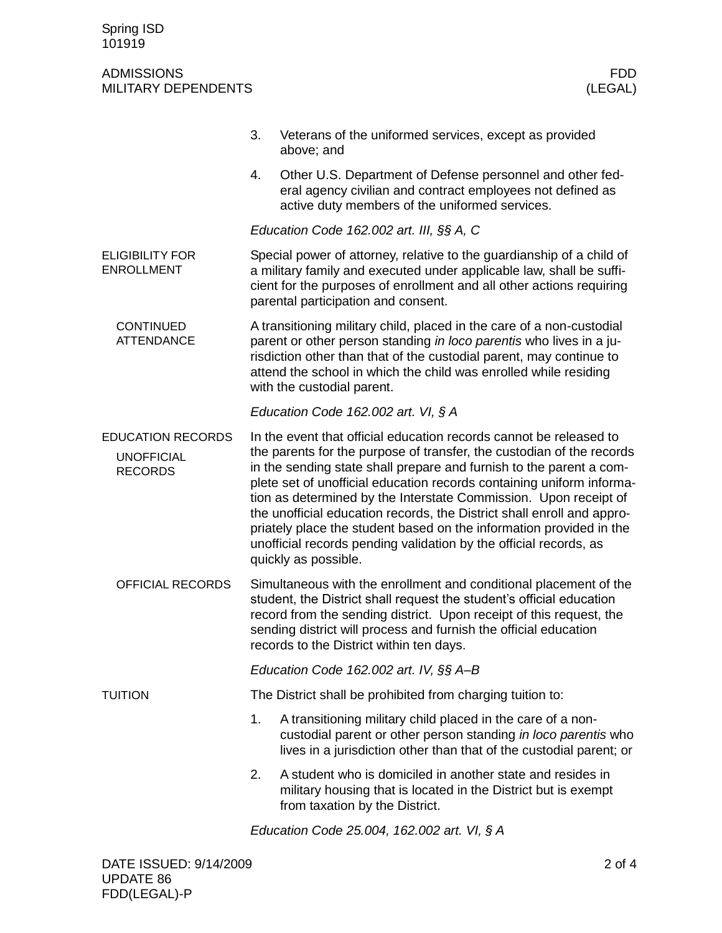## ADMISSIONS FDD **MILITARY DEPENDENTS**

|                                                                 | 3.                                                                                                                                                                                                                                                                                                                               | Veterans of the uniformed services, except as provided<br>above; and                                                                                                                                                                                                                                                                                                                                                                                                                                                                                                                                          |  |
|-----------------------------------------------------------------|----------------------------------------------------------------------------------------------------------------------------------------------------------------------------------------------------------------------------------------------------------------------------------------------------------------------------------|---------------------------------------------------------------------------------------------------------------------------------------------------------------------------------------------------------------------------------------------------------------------------------------------------------------------------------------------------------------------------------------------------------------------------------------------------------------------------------------------------------------------------------------------------------------------------------------------------------------|--|
|                                                                 | 4.                                                                                                                                                                                                                                                                                                                               | Other U.S. Department of Defense personnel and other fed-<br>eral agency civilian and contract employees not defined as<br>active duty members of the uniformed services.                                                                                                                                                                                                                                                                                                                                                                                                                                     |  |
|                                                                 | Education Code $162.002$ art. III, $\S$ § A, C                                                                                                                                                                                                                                                                                   |                                                                                                                                                                                                                                                                                                                                                                                                                                                                                                                                                                                                               |  |
| <b>ELIGIBILITY FOR</b><br><b>ENROLLMENT</b>                     | Special power of attorney, relative to the guardianship of a child of<br>a military family and executed under applicable law, shall be suffi-<br>cient for the purposes of enrollment and all other actions requiring<br>parental participation and consent.                                                                     |                                                                                                                                                                                                                                                                                                                                                                                                                                                                                                                                                                                                               |  |
| <b>CONTINUED</b><br><b>ATTENDANCE</b>                           | A transitioning military child, placed in the care of a non-custodial<br>parent or other person standing in loco parentis who lives in a ju-<br>risdiction other than that of the custodial parent, may continue to<br>attend the school in which the child was enrolled while residing<br>with the custodial parent.            |                                                                                                                                                                                                                                                                                                                                                                                                                                                                                                                                                                                                               |  |
|                                                                 | Education Code 162.002 art. VI, § A                                                                                                                                                                                                                                                                                              |                                                                                                                                                                                                                                                                                                                                                                                                                                                                                                                                                                                                               |  |
| <b>EDUCATION RECORDS</b><br><b>UNOFFICIAL</b><br><b>RECORDS</b> |                                                                                                                                                                                                                                                                                                                                  | In the event that official education records cannot be released to<br>the parents for the purpose of transfer, the custodian of the records<br>in the sending state shall prepare and furnish to the parent a com-<br>plete set of unofficial education records containing uniform informa-<br>tion as determined by the Interstate Commission. Upon receipt of<br>the unofficial education records, the District shall enroll and appro-<br>priately place the student based on the information provided in the<br>unofficial records pending validation by the official records, as<br>quickly as possible. |  |
| <b>OFFICIAL RECORDS</b>                                         | Simultaneous with the enrollment and conditional placement of the<br>student, the District shall request the student's official education<br>record from the sending district. Upon receipt of this request, the<br>sending district will process and furnish the official education<br>records to the District within ten days. |                                                                                                                                                                                                                                                                                                                                                                                                                                                                                                                                                                                                               |  |
|                                                                 | Education Code 162.002 art. IV, $\S$ $A$ -B                                                                                                                                                                                                                                                                                      |                                                                                                                                                                                                                                                                                                                                                                                                                                                                                                                                                                                                               |  |
| <b>TUITION</b>                                                  |                                                                                                                                                                                                                                                                                                                                  | The District shall be prohibited from charging tuition to:                                                                                                                                                                                                                                                                                                                                                                                                                                                                                                                                                    |  |
|                                                                 | 1.                                                                                                                                                                                                                                                                                                                               | A transitioning military child placed in the care of a non-<br>custodial parent or other person standing in loco parentis who<br>lives in a jurisdiction other than that of the custodial parent; or                                                                                                                                                                                                                                                                                                                                                                                                          |  |
|                                                                 | 2.                                                                                                                                                                                                                                                                                                                               | A student who is domiciled in another state and resides in<br>military housing that is located in the District but is exempt<br>from taxation by the District.                                                                                                                                                                                                                                                                                                                                                                                                                                                |  |
|                                                                 | Education Code 25.004, 162.002 art. VI, § A                                                                                                                                                                                                                                                                                      |                                                                                                                                                                                                                                                                                                                                                                                                                                                                                                                                                                                                               |  |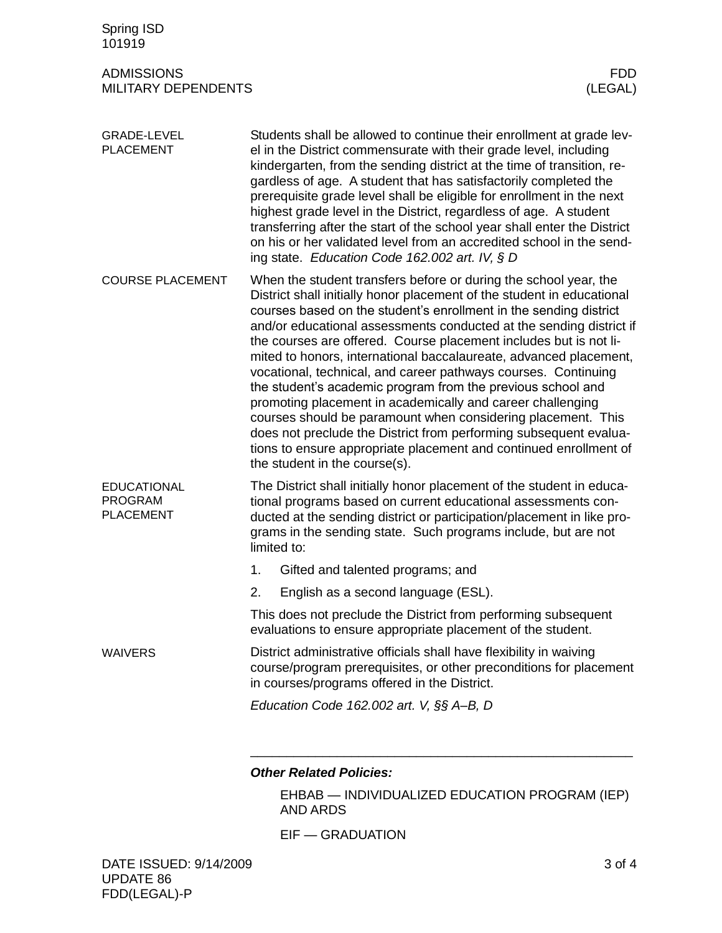| Spring ISD<br>101919                                     |                                                                                                                                                                                                                                                                                                                                                                                                                                                                                                                                                                                                                                                                                                                                                                                                                                                                            |  |  |
|----------------------------------------------------------|----------------------------------------------------------------------------------------------------------------------------------------------------------------------------------------------------------------------------------------------------------------------------------------------------------------------------------------------------------------------------------------------------------------------------------------------------------------------------------------------------------------------------------------------------------------------------------------------------------------------------------------------------------------------------------------------------------------------------------------------------------------------------------------------------------------------------------------------------------------------------|--|--|
| <b>ADMISSIONS</b><br>MILITARY DEPENDENTS                 | <b>FDD</b><br>(LEGAL)                                                                                                                                                                                                                                                                                                                                                                                                                                                                                                                                                                                                                                                                                                                                                                                                                                                      |  |  |
| <b>GRADE-LEVEL</b><br><b>PLACEMENT</b>                   | Students shall be allowed to continue their enrollment at grade lev-<br>el in the District commensurate with their grade level, including<br>kindergarten, from the sending district at the time of transition, re-<br>gardless of age. A student that has satisfactorily completed the<br>prerequisite grade level shall be eligible for enrollment in the next<br>highest grade level in the District, regardless of age. A student<br>transferring after the start of the school year shall enter the District<br>on his or her validated level from an accredited school in the send-<br>ing state. Education Code 162.002 art. IV, § D                                                                                                                                                                                                                                |  |  |
| <b>COURSE PLACEMENT</b>                                  | When the student transfers before or during the school year, the<br>District shall initially honor placement of the student in educational<br>courses based on the student's enrollment in the sending district<br>and/or educational assessments conducted at the sending district if<br>the courses are offered. Course placement includes but is not li-<br>mited to honors, international baccalaureate, advanced placement,<br>vocational, technical, and career pathways courses. Continuing<br>the student's academic program from the previous school and<br>promoting placement in academically and career challenging<br>courses should be paramount when considering placement. This<br>does not preclude the District from performing subsequent evalua-<br>tions to ensure appropriate placement and continued enrollment of<br>the student in the course(s). |  |  |
| <b>EDUCATIONAL</b><br><b>PROGRAM</b><br><b>PLACEMENT</b> | The District shall initially honor placement of the student in educa-<br>tional programs based on current educational assessments con-<br>ducted at the sending district or participation/placement in like pro-<br>grams in the sending state. Such programs include, but are not<br>limited to:                                                                                                                                                                                                                                                                                                                                                                                                                                                                                                                                                                          |  |  |
|                                                          | Gifted and talented programs; and<br>1.                                                                                                                                                                                                                                                                                                                                                                                                                                                                                                                                                                                                                                                                                                                                                                                                                                    |  |  |
|                                                          | 2.<br>English as a second language (ESL).                                                                                                                                                                                                                                                                                                                                                                                                                                                                                                                                                                                                                                                                                                                                                                                                                                  |  |  |
|                                                          | This does not preclude the District from performing subsequent<br>evaluations to ensure appropriate placement of the student.                                                                                                                                                                                                                                                                                                                                                                                                                                                                                                                                                                                                                                                                                                                                              |  |  |
| <b>WAIVERS</b>                                           | District administrative officials shall have flexibility in waiving<br>course/program prerequisites, or other preconditions for placement<br>in courses/programs offered in the District.                                                                                                                                                                                                                                                                                                                                                                                                                                                                                                                                                                                                                                                                                  |  |  |
|                                                          | Education Code $162.002$ art. V, $\S$ $\&$ A-B, D                                                                                                                                                                                                                                                                                                                                                                                                                                                                                                                                                                                                                                                                                                                                                                                                                          |  |  |
|                                                          |                                                                                                                                                                                                                                                                                                                                                                                                                                                                                                                                                                                                                                                                                                                                                                                                                                                                            |  |  |
|                                                          | <b>Other Related Policies:</b>                                                                                                                                                                                                                                                                                                                                                                                                                                                                                                                                                                                                                                                                                                                                                                                                                                             |  |  |

EHBAB — INDIVIDUALIZED EDUCATION PROGRAM (IEP) AND ARDS

EIF — GRADUATION